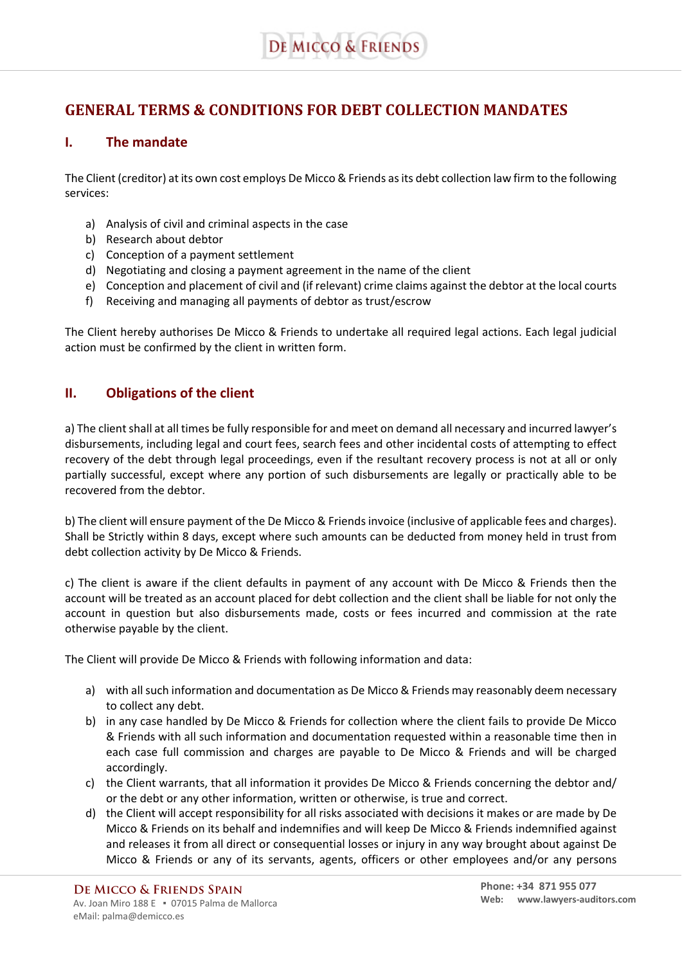# **GENERAL TERMS & CONDITIONS FOR DEBT COLLECTION MANDATES**

#### **I. The mandate**

The Client (creditor) at its own cost employs De Micco & Friends as its debt collection law firm to the following services:

- a) Analysis of civil and criminal aspects in the case
- b) Research about debtor
- c) Conception of a payment settlement
- d) Negotiating and closing a payment agreement in the name of the client
- e) Conception and placement of civil and (if relevant) crime claims against the debtor at the local courts
- f) Receiving and managing all payments of debtor as trust/escrow

The Client hereby authorises De Micco & Friends to undertake all required legal actions. Each legal judicial action must be confirmed by the client in written form.

## **II. Obligations of the client**

a) The client shall at all times be fully responsible for and meet on demand all necessary and incurred lawyer's disbursements, including legal and court fees, search fees and other incidental costs of attempting to effect recovery of the debt through legal proceedings, even if the resultant recovery process is not at all or only partially successful, except where any portion of such disbursements are legally or practically able to be recovered from the debtor.

b) The client will ensure payment of the De Micco & Friends invoice (inclusive of applicable fees and charges). Shall be Strictly within 8 days, except where such amounts can be deducted from money held in trust from debt collection activity by De Micco & Friends.

c) The client is aware if the client defaults in payment of any account with De Micco & Friends then the account will be treated as an account placed for debt collection and the client shall be liable for not only the account in question but also disbursements made, costs or fees incurred and commission at the rate otherwise payable by the client.

The Client will provide De Micco & Friends with following information and data:

- a) with all such information and documentation as De Micco & Friends may reasonably deem necessary to collect any debt.
- b) in any case handled by De Micco & Friends for collection where the client fails to provide De Micco & Friends with all such information and documentation requested within a reasonable time then in each case full commission and charges are payable to De Micco & Friends and will be charged accordingly.
- c) the Client warrants, that all information it provides De Micco & Friends concerning the debtor and/ or the debt or any other information, written or otherwise, is true and correct.
- d) the Client will accept responsibility for all risks associated with decisions it makes or are made by De Micco & Friends on its behalf and indemnifies and will keep De Micco & Friends indemnified against and releases it from all direct or consequential losses or injury in any way brought about against De Micco & Friends or any of its servants, agents, officers or other employees and/or any persons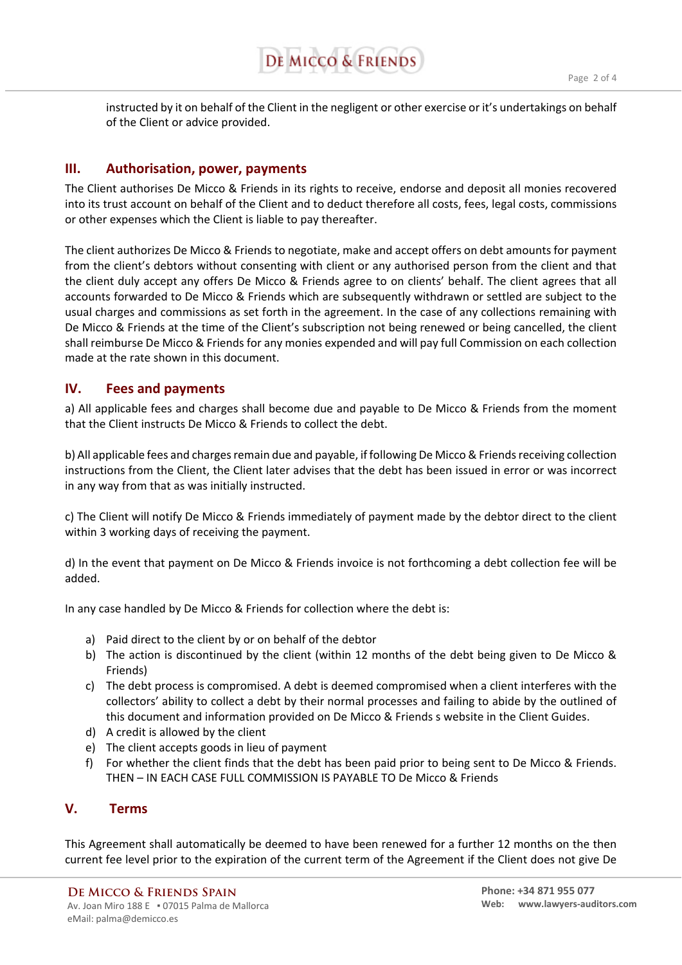instructed by it on behalf of the Client in the negligent or other exercise or it's undertakings on behalf of the Client or advice provided.

#### **III. Authorisation, power, payments**

The Client authorises De Micco & Friends in its rights to receive, endorse and deposit all monies recovered into its trust account on behalf of the Client and to deduct therefore all costs, fees, legal costs, commissions or other expenses which the Client is liable to pay thereafter.

The client authorizes De Micco & Friends to negotiate, make and accept offers on debt amounts for payment from the client's debtors without consenting with client or any authorised person from the client and that the client duly accept any offers De Micco & Friends agree to on clients' behalf. The client agrees that all accounts forwarded to De Micco & Friends which are subsequently withdrawn or settled are subject to the usual charges and commissions as set forth in the agreement. In the case of any collections remaining with De Micco & Friends at the time of the Client's subscription not being renewed or being cancelled, the client shall reimburse De Micco & Friends for any monies expended and will pay full Commission on each collection made at the rate shown in this document.

#### **IV. Fees and payments**

a) All applicable fees and charges shall become due and payable to De Micco & Friends from the moment that the Client instructs De Micco & Friends to collect the debt.

b) All applicable fees and charges remain due and payable, if following De Micco & Friends receiving collection instructions from the Client, the Client later advises that the debt has been issued in error or was incorrect in any way from that as was initially instructed.

c) The Client will notify De Micco & Friends immediately of payment made by the debtor direct to the client within 3 working days of receiving the payment.

d) In the event that payment on De Micco & Friends invoice is not forthcoming a debt collection fee will be added.

In any case handled by De Micco & Friends for collection where the debt is:

- a) Paid direct to the client by or on behalf of the debtor
- b) The action is discontinued by the client (within 12 months of the debt being given to De Micco & Friends)
- c) The debt process is compromised. A debt is deemed compromised when a client interferes with the collectors' ability to collect a debt by their normal processes and failing to abide by the outlined of this document and information provided on De Micco & Friends s website in the Client Guides.
- d) A credit is allowed by the client
- e) The client accepts goods in lieu of payment
- f) For whether the client finds that the debt has been paid prior to being sent to De Micco & Friends. THEN – IN EACH CASE FULL COMMISSION IS PAYABLE TO De Micco & Friends

#### **V. Terms**

This Agreement shall automatically be deemed to have been renewed for a further 12 months on the then current fee level prior to the expiration of the current term of the Agreement if the Client does not give De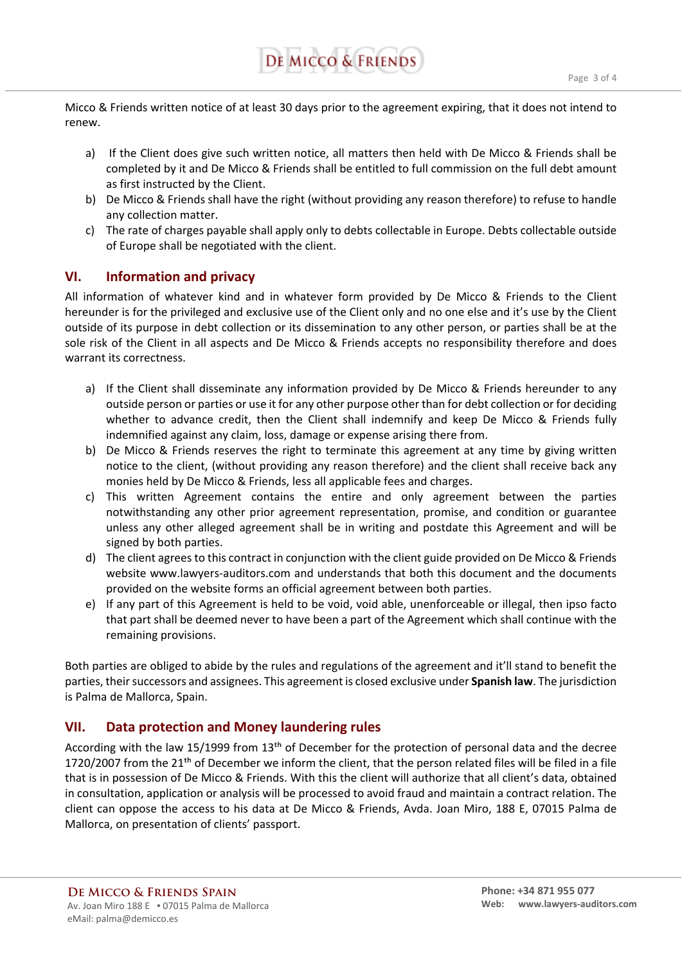Micco & Friends written notice of at least 30 days prior to the agreement expiring, that it does not intend to renew.

- a) If the Client does give such written notice, all matters then held with De Micco & Friends shall be completed by it and De Micco & Friends shall be entitled to full commission on the full debt amount as first instructed by the Client.
- b) De Micco & Friends shall have the right (without providing any reason therefore) to refuse to handle any collection matter.
- c) The rate of charges payable shall apply only to debts collectable in Europe. Debts collectable outside of Europe shall be negotiated with the client.

### **VI. Information and privacy**

All information of whatever kind and in whatever form provided by De Micco & Friends to the Client hereunder is for the privileged and exclusive use of the Client only and no one else and it's use by the Client outside of its purpose in debt collection or its dissemination to any other person, or parties shall be at the sole risk of the Client in all aspects and De Micco & Friends accepts no responsibility therefore and does warrant its correctness.

- a) If the Client shall disseminate any information provided by De Micco & Friends hereunder to any outside person or parties or use it for any other purpose other than for debt collection or for deciding whether to advance credit, then the Client shall indemnify and keep De Micco & Friends fully indemnified against any claim, loss, damage or expense arising there from.
- b) De Micco & Friends reserves the right to terminate this agreement at any time by giving written notice to the client, (without providing any reason therefore) and the client shall receive back any monies held by De Micco & Friends, less all applicable fees and charges.
- c) This written Agreement contains the entire and only agreement between the parties notwithstanding any other prior agreement representation, promise, and condition or guarantee unless any other alleged agreement shall be in writing and postdate this Agreement and will be signed by both parties.
- d) The client agrees to this contract in conjunction with the client guide provided on De Micco & Friends website www.lawyers-auditors.com and understands that both this document and the documents provided on the website forms an official agreement between both parties.
- e) If any part of this Agreement is held to be void, void able, unenforceable or illegal, then ipso facto that part shall be deemed never to have been a part of the Agreement which shall continue with the remaining provisions.

Both parties are obliged to abide by the rules and regulations of the agreement and it'll stand to benefit the parties, their successors and assignees. This agreement is closed exclusive under **Spanish law**. The jurisdiction is Palma de Mallorca, Spain.

#### **VII. Data protection and Money laundering rules**

According with the law 15/1999 from 13<sup>th</sup> of December for the protection of personal data and the decree 1720/2007 from the 21<sup>th</sup> of December we inform the client, that the person related files will be filed in a file that is in possession of De Micco & Friends. With this the client will authorize that all client's data, obtained in consultation, application or analysis will be processed to avoid fraud and maintain a contract relation. The client can oppose the access to his data at De Micco & Friends, Avda. Joan Miro, 188 E, 07015 Palma de Mallorca, on presentation of clients' passport.